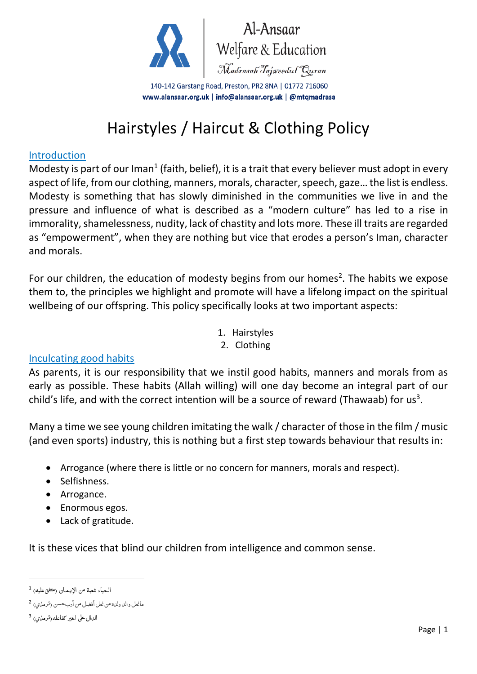

140-142 Garstang Road, Preston, PR2 8NA | 01772 716060 www.alansaar.org.uk | info@alansaar.org.uk | @mtqmadrasa

# Hairstyles / Haircut & Clothing Policy

#### Introduction

Modesty is part of our Iman<sup>1</sup> (faith, belief), it is a trait that every believer must adopt in every aspect of life, from our clothing, manners, morals, character, speech, gaze… the list is endless. Modesty is something that has slowly diminished in the communities we live in and the pressure and influence of what is described as a "modern culture" has led to a rise in immorality, shamelessness, nudity, lack of chastity and lots more. These ill traits are regarded as "empowerment", when they are nothing but vice that erodes a person's Iman, character and morals.

For our children, the education of modesty begins from our homes<sup>2</sup>. The habits we expose them to, the principles we highlight and promote will have a lifelong impact on the spiritual wellbeing of our offspring. This policy specifically looks at two important aspects:

- 1. Hairstyles
- 2. Clothing

#### Inculcating good habits

As parents, it is our responsibility that we instil good habits, manners and morals from as early as possible. These habits (Allah willing) will one day become an integral part of our child's life, and with the correct intention will be a source of reward (Thawaab) for us<sup>3</sup>.

Many a time we see young children imitating the walk / character of those in the film / music (and even sports) industry, this is nothing but a first step towards behaviour that results in:

- Arrogance (where there is little or no concern for manners, morals and respect).
- Selfishness.
- Arrogance.
- Enormous egos.
- Lack of gratitude.

It is these vices that blind our children from intelligence and common sense.

1

الحياء شعبة من الإيـمـان (متفقءليه) <sup>1</sup>

مانحل والد ولدة من نحل أفضل من أربحسن (ترمذي) <sup>2</sup>

الدال على الخير كفاعله(ترمذي) <sup>3</sup>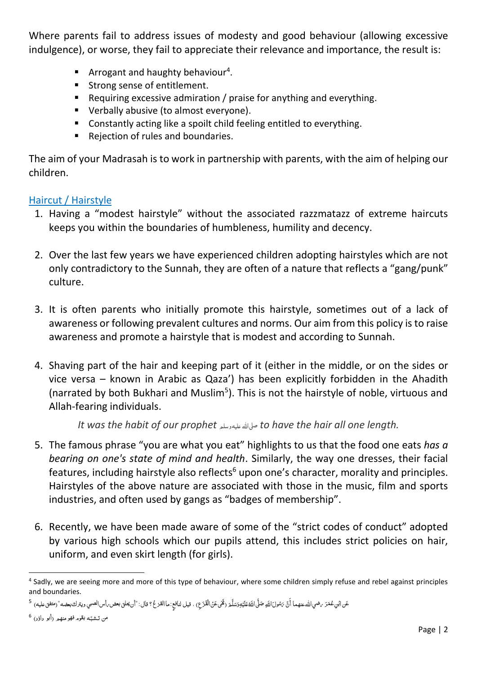Where parents fail to address issues of modesty and good behaviour (allowing excessive indulgence), or worse, they fail to appreciate their relevance and importance, the result is:

- **E** Arrogant and haughty behaviour<sup>4</sup>.
- Strong sense of entitlement.
- Requiring excessive admiration / praise for anything and everything.
- Verbally abusive (to almost everyone).
- Constantly acting like a spoilt child feeling entitled to everything.
- Rejection of rules and boundaries.

The aim of your Madrasah is to work in partnership with parents, with the aim of helping our children.

#### Haircut / Hairstyle

- 1. Having a "modest hairstyle" without the associated razzmatazz of extreme haircuts keeps you within the boundaries of humbleness, humility and decency.
- 2. Over the last few years we have experienced children adopting hairstyles which are not only contradictory to the Sunnah, they are often of a nature that reflects a "gang/punk" culture.
- 3. It is often parents who initially promote this hairstyle, sometimes out of a lack of awareness or following prevalent cultures and norms. Our aim from this policy is to raise awareness and promote a hairstyle that is modest and according to Sunnah.
- 4. Shaving part of the hair and keeping part of it (either in the middle, or on the sides or vice versa – known in Arabic as Qaza') has been explicitly forbidden in the Ahadith (narrated by both Bukhari and Muslim<sup>5</sup>). This is not the hairstyle of noble, virtuous and Allah-fearing individuals.

*It was the habit of our prophet* عليهوسلم صىلاهلل *to have the hair all one length.*

- 5. The famous phrase "you are what you eat" highlights to us that the food one eats *has a bearing on one's state of mind and health*. Similarly, the way one dresses, their facial features, including hairstyle also reflects $6$  upon one's character, morality and principles. Hairstyles of the above nature are associated with those in the music, film and sports industries, and often used by gangs as "badges of membership".
- 6. Recently, we have been made aware of some of the "strict codes of conduct" adopted by various high schools which our pupils attend, this includes strict policies on hair, uniform, and even skirt length (for girls).

**.** 

<sup>&</sup>lt;sup>4</sup> Sadly, we are seeing more and more of this type of behaviour, where some children simply refuse and rebel against principles and boundaries.

عَن النّوعُمَرَ برضي الله عنهما أَنَّ بَسُولَ اللّهِ صَلَّى اللّفَطَيْهِوَسَلَّمَ (تَمَى عَنْ الْقَزَعِ) ، قيل لنافعٍ :هاالقزعُ؟ قال: "أن يحلق بعض بأس الصبي ويترك بعضه" (متفق عليه) <sup>5</sup> ْ ْ Î َ ا Í َ ś ْ

من تـشـبّـه بقوم فهو منهـم (أبو داؤد) <sup>6</sup> į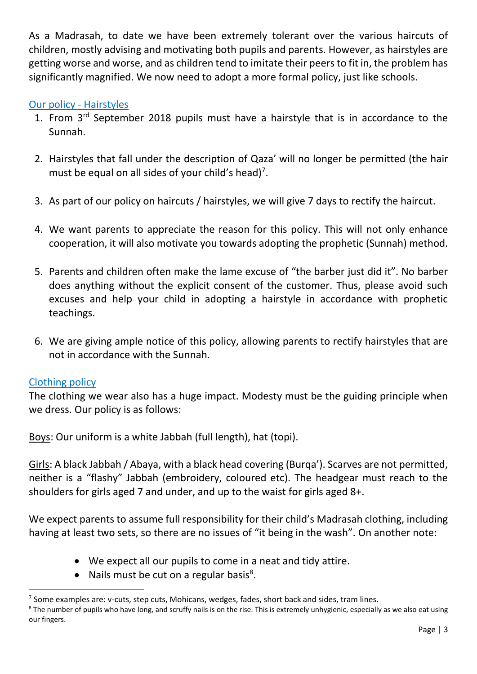As a Madrasah, to date we have been extremely tolerant over the various haircuts of children, mostly advising and motivating both pupils and parents. However, as hairstyles are getting worse and worse, and as children tend to imitate their peers to fit in, the problem has significantly magnified. We now need to adopt a more formal policy, just like schools.

### Our policy - Hairstyles

- 1. From 3<sup>rd</sup> September 2018 pupils must have a hairstyle that is in accordance to the Sunnah.
- 2. Hairstyles that fall under the description of Qaza' will no longer be permitted (the hair must be equal on all sides of your child's head)<sup>7</sup>.
- 3. As part of our policy on haircuts / hairstyles, we will give 7 days to rectify the haircut.
- 4. We want parents to appreciate the reason for this policy. This will not only enhance cooperation, it will also motivate you towards adopting the prophetic (Sunnah) method.
- 5. Parents and children often make the lame excuse of "the barber just did it". No barber does anything without the explicit consent of the customer. Thus, please avoid such excuses and help your child in adopting a hairstyle in accordance with prophetic teachings.
- 6. We are giving ample notice of this policy, allowing parents to rectify hairstyles that are not in accordance with the Sunnah.

#### Clothing policy

**.** 

The clothing we wear also has a huge impact. Modesty must be the guiding principle when we dress. Our policy is as follows:

Boys: Our uniform is a white Jabbah (full length), hat (topi).

Girls: A black Jabbah / Abaya, with a black head covering (Burqa'). Scarves are not permitted, neither is a "flashy" Jabbah (embroidery, coloured etc). The headgear must reach to the shoulders for girls aged 7 and under, and up to the waist for girls aged 8+.

We expect parents to assume full responsibility for their child's Madrasah clothing, including having at least two sets, so there are no issues of "it being in the wash". On another note:

- We expect all our pupils to come in a neat and tidy attire.
- Nails must be cut on a regular basis<sup>8</sup>.

<sup>&</sup>lt;sup>7</sup> Some examples are: v-cuts, step cuts, Mohicans, wedges, fades, short back and sides, tram lines.

<sup>&</sup>lt;sup>8</sup> The number of pupils who have long, and scruffy nails is on the rise. This is extremely unhygienic, especially as we also eat using our fingers.